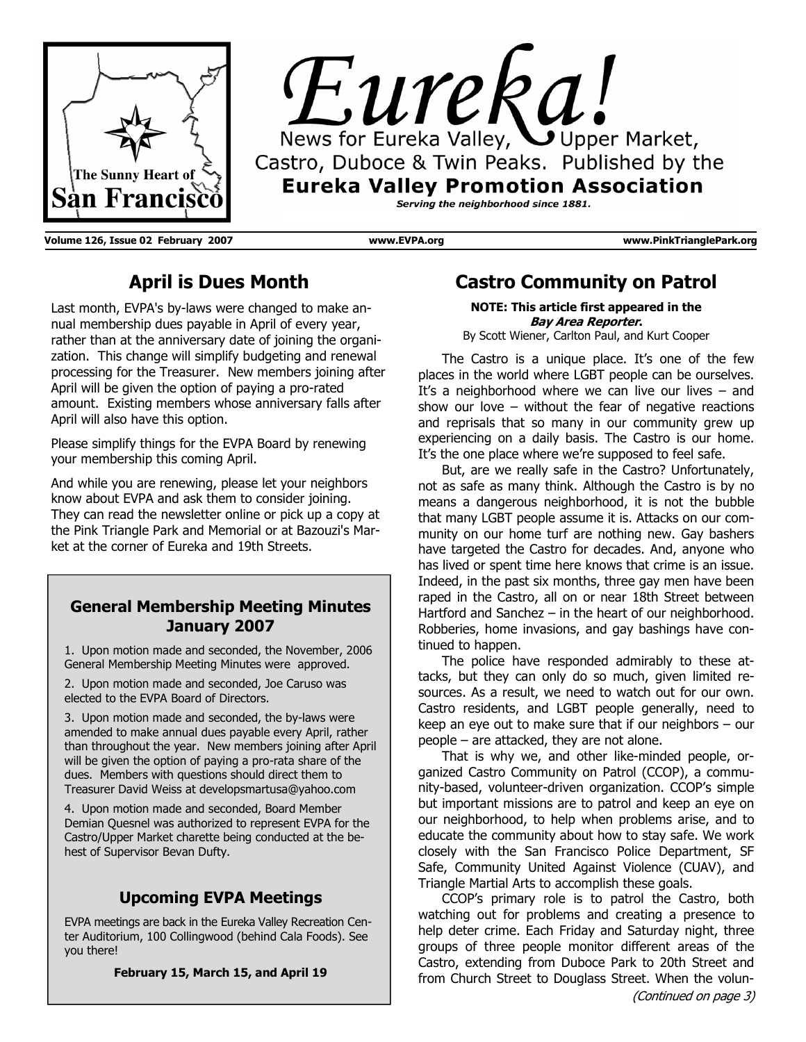



**Volume 126, Issue 02 February 2007 www.EVPA.org www.PinkTrianglePark.org** 

# **April is Dues Month**

Last month, EVPA's by-laws were changed to make annual membership dues payable in April of every year, rather than at the anniversary date of joining the organization. This change will simplify budgeting and renewal processing for the Treasurer. New members joining after April will be given the option of paying a pro-rated amount. Existing members whose anniversary falls after April will also have this option.

Please simplify things for the EVPA Board by renewing your membership this coming April.

And while you are renewing, please let your neighbors know about EVPA and ask them to consider joining. They can read the newsletter online or pick up a copy at the Pink Triangle Park and Memorial or at Bazouzi's Market at the corner of Eureka and 19th Streets.

#### **General Membership Meeting Minutes January 2007**

1. Upon motion made and seconded, the November, 2006 General Membership Meeting Minutes were approved.

2. Upon motion made and seconded, Joe Caruso was elected to the EVPA Board of Directors.

3. Upon motion made and seconded, the by-laws were amended to make annual dues payable every April, rather than throughout the year. New members joining after April will be given the option of paying a pro-rata share of the dues. Members with questions should direct them to Treasurer David Weiss at developsmartusa@yahoo.com

4. Upon motion made and seconded, Board Member Demian Quesnel was authorized to represent EVPA for the Castro/Upper Market charette being conducted at the behest of Supervisor Bevan Dufty.

## **Upcoming EVPA Meetings**

EVPA meetings are back in the Eureka Valley Recreation Center Auditorium, 100 Collingwood (behind Cala Foods). See you there!

**February 15, March 15, and April 19** 

## **Castro Community on Patrol**

**NOTE: This article first appeared in the Bay Area Reporter.** By Scott Wiener, Carlton Paul, and Kurt Cooper

 The Castro is a unique place. It's one of the few places in the world where LGBT people can be ourselves. It's a neighborhood where we can live our lives  $-$  and show our love – without the fear of negative reactions and reprisals that so many in our community grew up experiencing on a daily basis. The Castro is our home. It's the one place where we're supposed to feel safe.

 But, are we really safe in the Castro? Unfortunately, not as safe as many think. Although the Castro is by no means a dangerous neighborhood, it is not the bubble that many LGBT people assume it is. Attacks on our community on our home turf are nothing new. Gay bashers have targeted the Castro for decades. And, anyone who has lived or spent time here knows that crime is an issue. Indeed, in the past six months, three gay men have been raped in the Castro, all on or near 18th Street between Hartford and Sanchez – in the heart of our neighborhood. Robberies, home invasions, and gay bashings have continued to happen.

 The police have responded admirably to these attacks, but they can only do so much, given limited resources. As a result, we need to watch out for our own. Castro residents, and LGBT people generally, need to keep an eye out to make sure that if our neighbors – our people – are attacked, they are not alone.

 That is why we, and other like-minded people, organized Castro Community on Patrol (CCOP), a community-based, volunteer-driven organization. CCOP's simple but important missions are to patrol and keep an eye on our neighborhood, to help when problems arise, and to educate the community about how to stay safe. We work closely with the San Francisco Police Department, SF Safe, Community United Against Violence (CUAV), and Triangle Martial Arts to accomplish these goals.

 CCOP's primary role is to patrol the Castro, both watching out for problems and creating a presence to help deter crime. Each Friday and Saturday night, three groups of three people monitor different areas of the Castro, extending from Duboce Park to 20th Street and from Church Street to Douglass Street. When the volun-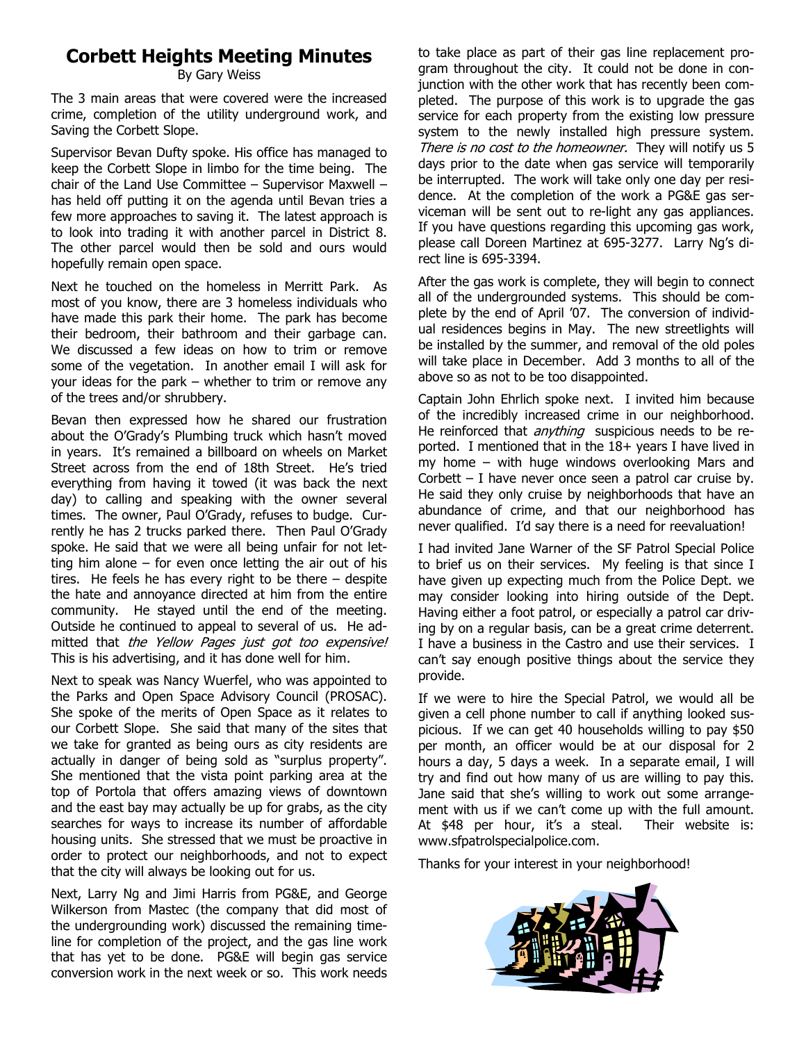# **Corbett Heights Meeting Minutes**

By Gary Weiss

The 3 main areas that were covered were the increased crime, completion of the utility underground work, and Saving the Corbett Slope.

Supervisor Bevan Dufty spoke. His office has managed to keep the Corbett Slope in limbo for the time being. The chair of the Land Use Committee – Supervisor Maxwell – has held off putting it on the agenda until Bevan tries a few more approaches to saving it. The latest approach is to look into trading it with another parcel in District 8. The other parcel would then be sold and ours would hopefully remain open space.

Next he touched on the homeless in Merritt Park. As most of you know, there are 3 homeless individuals who have made this park their home. The park has become their bedroom, their bathroom and their garbage can. We discussed a few ideas on how to trim or remove some of the vegetation. In another email I will ask for your ideas for the park – whether to trim or remove any of the trees and/or shrubbery.

Bevan then expressed how he shared our frustration about the O'Grady's Plumbing truck which hasn't moved in years. It's remained a billboard on wheels on Market Street across from the end of 18th Street. He's tried everything from having it towed (it was back the next day) to calling and speaking with the owner several times. The owner, Paul O'Grady, refuses to budge. Currently he has 2 trucks parked there. Then Paul O'Grady spoke. He said that we were all being unfair for not letting him alone  $-$  for even once letting the air out of his tires. He feels he has every right to be there – despite the hate and annoyance directed at him from the entire community. He stayed until the end of the meeting. Outside he continued to appeal to several of us. He admitted that the Yellow Pages just got too expensive! This is his advertising, and it has done well for him.

Next to speak was Nancy Wuerfel, who was appointed to the Parks and Open Space Advisory Council (PROSAC). She spoke of the merits of Open Space as it relates to our Corbett Slope. She said that many of the sites that we take for granted as being ours as city residents are actually in danger of being sold as "surplus property". She mentioned that the vista point parking area at the top of Portola that offers amazing views of downtown and the east bay may actually be up for grabs, as the city searches for ways to increase its number of affordable housing units. She stressed that we must be proactive in order to protect our neighborhoods, and not to expect that the city will always be looking out for us.

Next, Larry Ng and Jimi Harris from PG&E, and George Wilkerson from Mastec (the company that did most of the undergrounding work) discussed the remaining timeline for completion of the project, and the gas line work that has yet to be done. PG&E will begin gas service conversion work in the next week or so. This work needs

to take place as part of their gas line replacement program throughout the city. It could not be done in conjunction with the other work that has recently been completed. The purpose of this work is to upgrade the gas service for each property from the existing low pressure system to the newly installed high pressure system. There is no cost to the homeowner. They will notify us 5 days prior to the date when gas service will temporarily be interrupted. The work will take only one day per residence. At the completion of the work a PG&E gas serviceman will be sent out to re-light any gas appliances. If you have questions regarding this upcoming gas work, please call Doreen Martinez at 695-3277. Larry Ng's direct line is 695-3394.

After the gas work is complete, they will begin to connect all of the undergrounded systems. This should be complete by the end of April '07. The conversion of individual residences begins in May. The new streetlights will be installed by the summer, and removal of the old poles will take place in December. Add 3 months to all of the above so as not to be too disappointed.

Captain John Ehrlich spoke next. I invited him because of the incredibly increased crime in our neighborhood. He reinforced that *anything* suspicious needs to be reported. I mentioned that in the 18+ years I have lived in my home – with huge windows overlooking Mars and Corbett – I have never once seen a patrol car cruise by. He said they only cruise by neighborhoods that have an abundance of crime, and that our neighborhood has never qualified. I'd say there is a need for reevaluation!

I had invited Jane Warner of the SF Patrol Special Police to brief us on their services. My feeling is that since I have given up expecting much from the Police Dept. we may consider looking into hiring outside of the Dept. Having either a foot patrol, or especially a patrol car driving by on a regular basis, can be a great crime deterrent. I have a business in the Castro and use their services. I can't say enough positive things about the service they provide.

If we were to hire the Special Patrol, we would all be given a cell phone number to call if anything looked suspicious. If we can get 40 households willing to pay \$50 per month, an officer would be at our disposal for 2 hours a day, 5 days a week. In a separate email, I will try and find out how many of us are willing to pay this. Jane said that she's willing to work out some arrangement with us if we can't come up with the full amount. At \$48 per hour, it's a steal. Their website is: www.sfpatrolspecialpolice.com.

Thanks for your interest in your neighborhood!

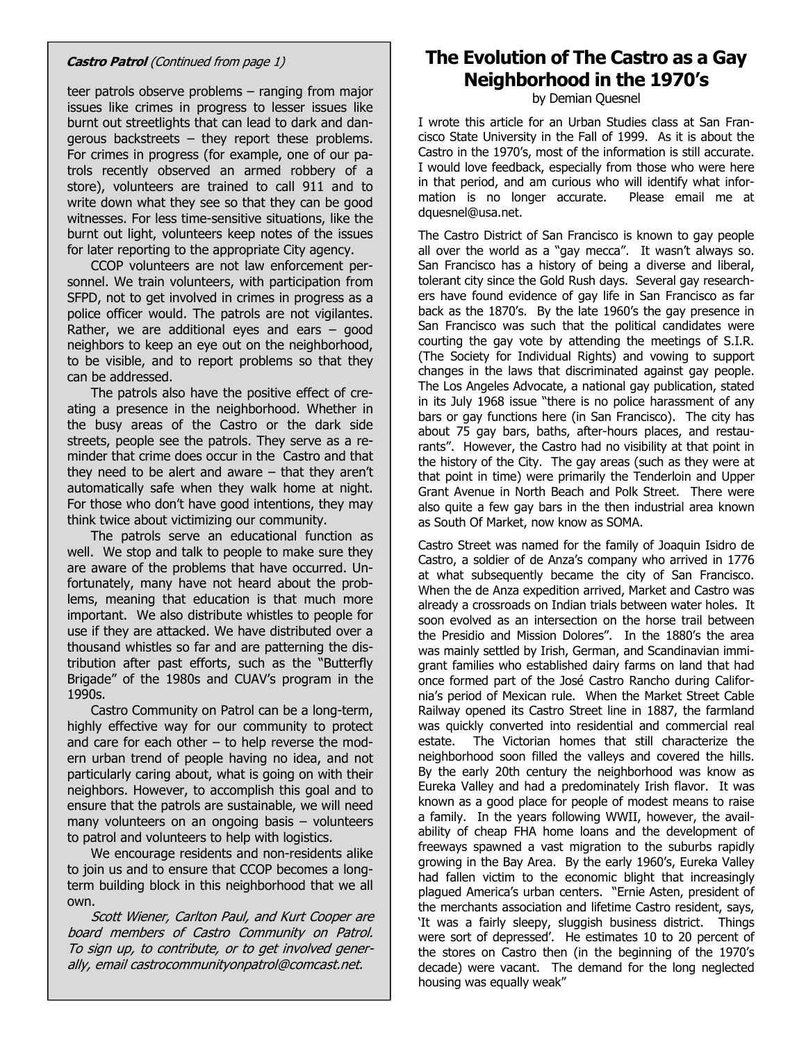teer patrols observe problems – ranging from major issues like crimes in progress to lesser issues like burnt out streetlights that can lead to dark and dangerous backstreets – they report these problems. For crimes in progress (for example, one of our patrols recently observed an armed robbery of a store), volunteers are trained to call 911 and to write down what they see so that they can be good witnesses. For less time-sensitive situations, like the burnt out light, volunteers keep notes of the issues for later reporting to the appropriate City agency.

 CCOP volunteers are not law enforcement personnel. We train volunteers, with participation from SFPD, not to get involved in crimes in progress as a police officer would. The patrols are not vigilantes. Rather, we are additional eyes and ears  $-$  good neighbors to keep an eye out on the neighborhood, to be visible, and to report problems so that they can be addressed.

 The patrols also have the positive effect of creating a presence in the neighborhood. Whether in the busy areas of the Castro or the dark side streets, people see the patrols. They serve as a reminder that crime does occur in the Castro and that they need to be alert and aware – that they aren't automatically safe when they walk home at night. For those who don't have good intentions, they may think twice about victimizing our community.

 The patrols serve an educational function as well. We stop and talk to people to make sure they are aware of the problems that have occurred. Unfortunately, many have not heard about the problems, meaning that education is that much more important. We also distribute whistles to people for use if they are attacked. We have distributed over a thousand whistles so far and are patterning the distribution after past efforts, such as the "Butterfly Brigade" of the 1980s and CUAV's program in the 1990s.

 Castro Community on Patrol can be a long-term, highly effective way for our community to protect and care for each other  $-$  to help reverse the modern urban trend of people having no idea, and not particularly caring about, what is going on with their neighbors. However, to accomplish this goal and to ensure that the patrols are sustainable, we will need many volunteers on an ongoing basis – volunteers to patrol and volunteers to help with logistics.

 We encourage residents and non-residents alike to join us and to ensure that CCOP becomes a longterm building block in this neighborhood that we all own.

 Scott Wiener, Carlton Paul, and Kurt Cooper are board members of Castro Community on Patrol. To sign up, to contribute, or to get involved generally, email castrocommunityonpatrol@comcast.net.

# **Castro Patrol** (Continued from page 1) **The Evolution of The Castro as a Gay Neighborhood in the 1970's**

by Demian Quesnel

I wrote this article for an Urban Studies class at San Francisco State University in the Fall of 1999. As it is about the Castro in the 1970's, most of the information is still accurate. I would love feedback, especially from those who were here in that period, and am curious who will identify what information is no longer accurate. Please email me at dquesnel@usa.net.

The Castro District of San Francisco is known to gay people all over the world as a "gay mecca". It wasn't always so. San Francisco has a history of being a diverse and liberal, tolerant city since the Gold Rush days. Several gay researchers have found evidence of gay life in San Francisco as far back as the 1870's. By the late 1960's the gay presence in San Francisco was such that the political candidates were courting the gay vote by attending the meetings of S.I.R. (The Society for Individual Rights) and vowing to support changes in the laws that discriminated against gay people. The Los Angeles Advocate, a national gay publication, stated in its July 1968 issue "there is no police harassment of any bars or gay functions here (in San Francisco). The city has about 75 gay bars, baths, after-hours places, and restaurants". However, the Castro had no visibility at that point in the history of the City. The gay areas (such as they were at that point in time) were primarily the Tenderloin and Upper Grant Avenue in North Beach and Polk Street. There were also quite a few gay bars in the then industrial area known as South Of Market, now know as SOMA.

Castro Street was named for the family of Joaquin Isidro de Castro, a soldier of de Anza's company who arrived in 1776 at what subsequently became the city of San Francisco. When the de Anza expedition arrived, Market and Castro was already a crossroads on Indian trials between water holes. It soon evolved as an intersection on the horse trail between the Presidio and Mission Dolores". In the 1880's the area was mainly settled by Irish, German, and Scandinavian immigrant families who established dairy farms on land that had once formed part of the José Castro Rancho during California's period of Mexican rule. When the Market Street Cable Railway opened its Castro Street line in 1887, the farmland was quickly converted into residential and commercial real estate. The Victorian homes that still characterize the neighborhood soon filled the valleys and covered the hills. By the early 20th century the neighborhood was know as Eureka Valley and had a predominately Irish flavor. It was known as a good place for people of modest means to raise a family. In the years following WWII, however, the availability of cheap FHA home loans and the development of freeways spawned a vast migration to the suburbs rapidly growing in the Bay Area. By the early 1960's, Eureka Valley had fallen victim to the economic blight that increasingly plagued America's urban centers. "Ernie Asten, president of the merchants association and lifetime Castro resident, says, 'It was a fairly sleepy, sluggish business district. Things were sort of depressed'. He estimates 10 to 20 percent of the stores on Castro then (in the beginning of the 1970's decade) were vacant. The demand for the long neglected housing was equally weak"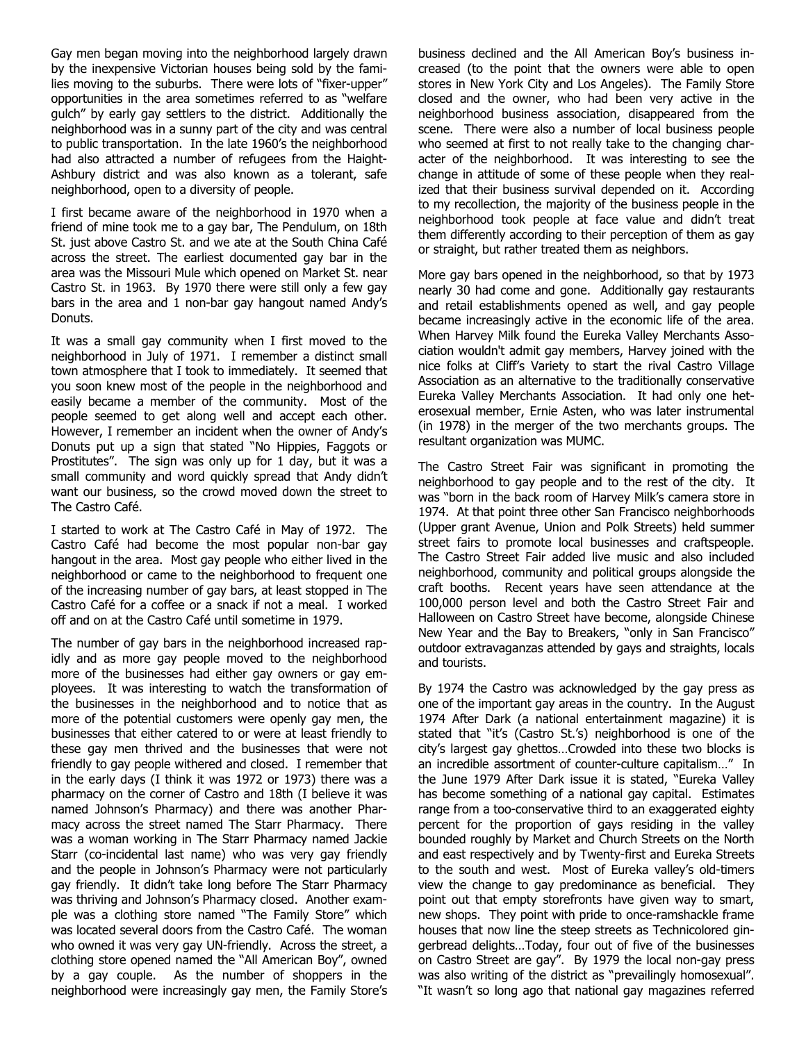Gay men began moving into the neighborhood largely drawn by the inexpensive Victorian houses being sold by the families moving to the suburbs. There were lots of "fixer-upper" opportunities in the area sometimes referred to as "welfare gulch" by early gay settlers to the district. Additionally the neighborhood was in a sunny part of the city and was central to public transportation. In the late 1960's the neighborhood had also attracted a number of refugees from the Haight-Ashbury district and was also known as a tolerant, safe neighborhood, open to a diversity of people.

I first became aware of the neighborhood in 1970 when a friend of mine took me to a gay bar, The Pendulum, on 18th St. just above Castro St. and we ate at the South China Café across the street. The earliest documented gay bar in the area was the Missouri Mule which opened on Market St. near Castro St. in 1963. By 1970 there were still only a few gay bars in the area and 1 non-bar gay hangout named Andy's Donuts.

It was a small gay community when I first moved to the neighborhood in July of 1971. I remember a distinct small town atmosphere that I took to immediately. It seemed that you soon knew most of the people in the neighborhood and easily became a member of the community. Most of the people seemed to get along well and accept each other. However, I remember an incident when the owner of Andy's Donuts put up a sign that stated "No Hippies, Faggots or Prostitutes". The sign was only up for 1 day, but it was a small community and word quickly spread that Andy didn't want our business, so the crowd moved down the street to The Castro Café.

I started to work at The Castro Café in May of 1972. The Castro Café had become the most popular non-bar gay hangout in the area. Most gay people who either lived in the neighborhood or came to the neighborhood to frequent one of the increasing number of gay bars, at least stopped in The Castro Café for a coffee or a snack if not a meal. I worked off and on at the Castro Café until sometime in 1979.

The number of gay bars in the neighborhood increased rapidly and as more gay people moved to the neighborhood more of the businesses had either gay owners or gay employees. It was interesting to watch the transformation of the businesses in the neighborhood and to notice that as more of the potential customers were openly gay men, the businesses that either catered to or were at least friendly to these gay men thrived and the businesses that were not friendly to gay people withered and closed. I remember that in the early days (I think it was 1972 or 1973) there was a pharmacy on the corner of Castro and 18th (I believe it was named Johnson's Pharmacy) and there was another Pharmacy across the street named The Starr Pharmacy. There was a woman working in The Starr Pharmacy named Jackie Starr (co-incidental last name) who was very gay friendly and the people in Johnson's Pharmacy were not particularly gay friendly. It didn't take long before The Starr Pharmacy was thriving and Johnson's Pharmacy closed. Another example was a clothing store named "The Family Store" which was located several doors from the Castro Café. The woman who owned it was very gay UN-friendly. Across the street, a clothing store opened named the "All American Boy", owned by a gay couple. As the number of shoppers in the neighborhood were increasingly gay men, the Family Store's business declined and the All American Boy's business increased (to the point that the owners were able to open stores in New York City and Los Angeles). The Family Store closed and the owner, who had been very active in the neighborhood business association, disappeared from the scene. There were also a number of local business people who seemed at first to not really take to the changing character of the neighborhood. It was interesting to see the change in attitude of some of these people when they realized that their business survival depended on it. According to my recollection, the majority of the business people in the neighborhood took people at face value and didn't treat them differently according to their perception of them as gay or straight, but rather treated them as neighbors.

More gay bars opened in the neighborhood, so that by 1973 nearly 30 had come and gone. Additionally gay restaurants and retail establishments opened as well, and gay people became increasingly active in the economic life of the area. When Harvey Milk found the Eureka Valley Merchants Association wouldn't admit gay members, Harvey joined with the nice folks at Cliff's Variety to start the rival Castro Village Association as an alternative to the traditionally conservative Eureka Valley Merchants Association. It had only one heterosexual member, Ernie Asten, who was later instrumental (in 1978) in the merger of the two merchants groups. The resultant organization was MUMC.

The Castro Street Fair was significant in promoting the neighborhood to gay people and to the rest of the city. It was "born in the back room of Harvey Milk's camera store in 1974. At that point three other San Francisco neighborhoods (Upper grant Avenue, Union and Polk Streets) held summer street fairs to promote local businesses and craftspeople. The Castro Street Fair added live music and also included neighborhood, community and political groups alongside the craft booths. Recent years have seen attendance at the 100,000 person level and both the Castro Street Fair and Halloween on Castro Street have become, alongside Chinese New Year and the Bay to Breakers, "only in San Francisco" outdoor extravaganzas attended by gays and straights, locals and tourists.

By 1974 the Castro was acknowledged by the gay press as one of the important gay areas in the country. In the August 1974 After Dark (a national entertainment magazine) it is stated that "it's (Castro St.'s) neighborhood is one of the city's largest gay ghettos…Crowded into these two blocks is an incredible assortment of counter-culture capitalism…" In the June 1979 After Dark issue it is stated, "Eureka Valley has become something of a national gay capital. Estimates range from a too-conservative third to an exaggerated eighty percent for the proportion of gays residing in the valley bounded roughly by Market and Church Streets on the North and east respectively and by Twenty-first and Eureka Streets to the south and west. Most of Eureka valley's old-timers view the change to gay predominance as beneficial. They point out that empty storefronts have given way to smart, new shops. They point with pride to once-ramshackle frame houses that now line the steep streets as Technicolored gingerbread delights…Today, four out of five of the businesses on Castro Street are gay". By 1979 the local non-gay press was also writing of the district as "prevailingly homosexual". "It wasn't so long ago that national gay magazines referred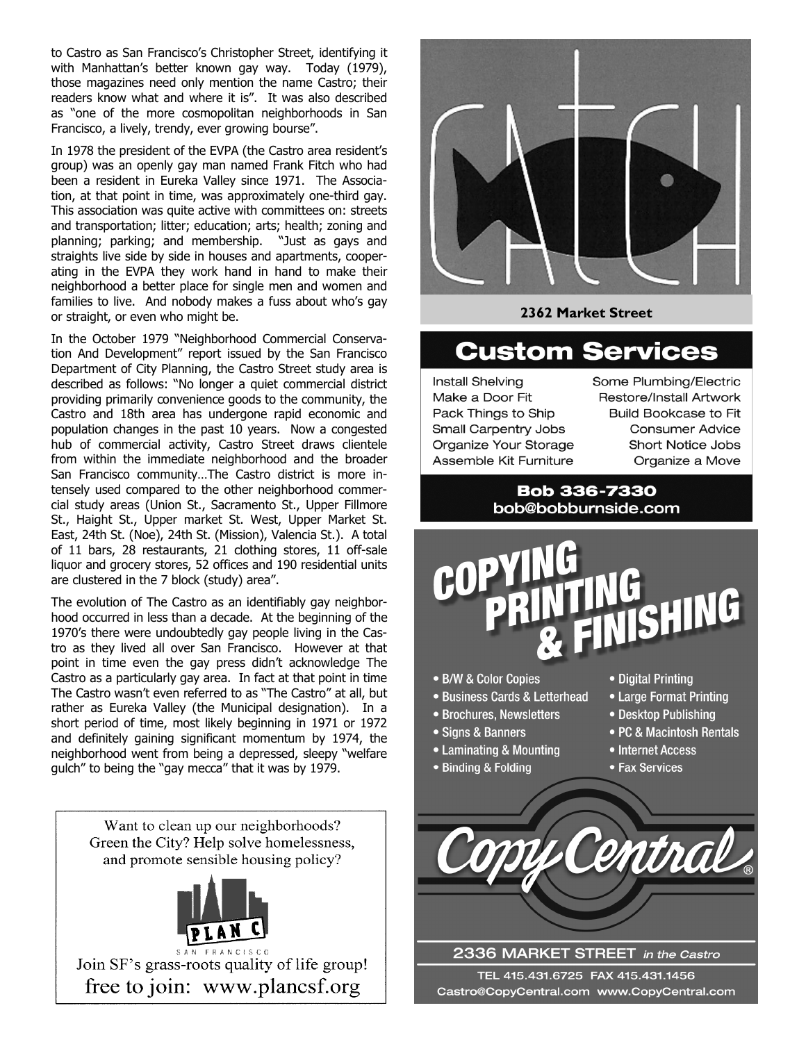to Castro as San Francisco's Christopher Street, identifying it with Manhattan's better known gay way. Today (1979), those magazines need only mention the name Castro; their readers know what and where it is". It was also described as "one of the more cosmopolitan neighborhoods in San Francisco, a lively, trendy, ever growing bourse".

In 1978 the president of the EVPA (the Castro area resident's group) was an openly gay man named Frank Fitch who had been a resident in Eureka Valley since 1971. The Association, at that point in time, was approximately one-third gay. This association was quite active with committees on: streets and transportation; litter; education; arts; health; zoning and planning; parking; and membership. "Just as gays and straights live side by side in houses and apartments, cooperating in the EVPA they work hand in hand to make their neighborhood a better place for single men and women and families to live. And nobody makes a fuss about who's gay or straight, or even who might be.

In the October 1979 "Neighborhood Commercial Conservation And Development" report issued by the San Francisco Department of City Planning, the Castro Street study area is described as follows: "No longer a quiet commercial district providing primarily convenience goods to the community, the Castro and 18th area has undergone rapid economic and population changes in the past 10 years. Now a congested hub of commercial activity, Castro Street draws clientele from within the immediate neighborhood and the broader San Francisco community...The Castro district is more intensely used compared to the other neighborhood commercial study areas (Union St., Sacramento St., Upper Fillmore St., Haight St., Upper market St. West, Upper Market St. East, 24th St. (Noe), 24th St. (Mission), Valencia St.). A total of 11 bars, 28 restaurants, 21 clothing stores, 11 off-sale liquor and grocery stores, 52 offices and 190 residential units are clustered in the 7 block (study) area".

The evolution of The Castro as an identifiably gay neighborhood occurred in less than a decade. At the beginning of the 1970's there were undoubtedly gay people living in the Castro as they lived all over San Francisco. However at that point in time even the gay press didn't acknowledge The Castro as a particularly gay area. In fact at that point in time The Castro wasn't even referred to as "The Castro" at all, but rather as Eureka Valley (the Municipal designation). In a short period of time, most likely beginning in 1971 or 1972 and definitely gaining significant momentum by 1974, the neighborhood went from being a depressed, sleepy "welfare quich" to being the "gay mecca" that it was by 1979.

> Want to clean up our neighborhoods? Green the City? Help solve homelessness, and promote sensible housing policy?



Join SF's grass-roots quality of life group! free to join: www.plancsf.org



2362 Market Street

# **Custom Services**

**Install Shelving** Make a Door Fit Pack Things to Ship Small Carpentry Jobs Organize Your Storage Assemble Kit Furniture

Some Plumbing/Electric **Restore/Install Artwork Build Bookcase to Fit Consumer Advice Short Notice Jobs** Organize a Move

**Bob 336-7330** bob@bobburnside.com



- B/W & Color Copies
- · Business Cards & Letterhead
- Brochures, Newsletters
- Signs & Banners
- Laminating & Mounting
- Binding & Folding
- Digital Printing
- Large Format Printing
- Desktop Publishing
- PC & Macintosh Rentals
- Internet Access
- Fax Services



2336 MARKET STREET in the Castro TEL 415.431.6725 FAX 415.431.1456 Castro@CopyCentral.com www.CopyCentral.com